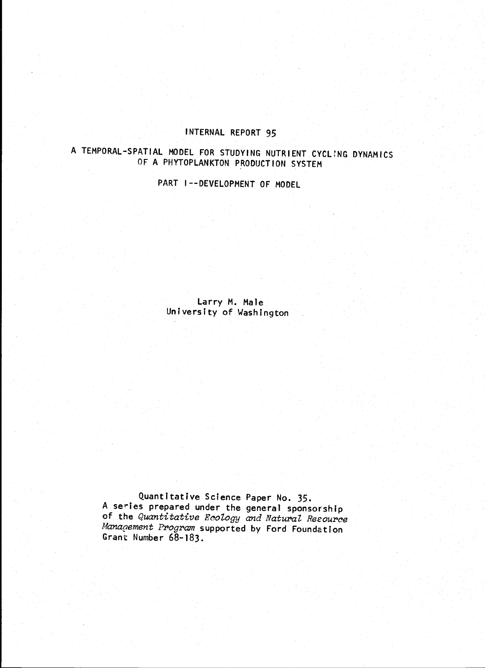### INTERNAL REPORT 95

# A TEMPORAL-SPATIAL MODEL FOR STUDYING NUTRIENT CYCLING DYNAMICS OF A PHYTOPLANKTON PRODUCTION SYSTEM

PART I--DEVELOPMENT OF MODEL

Larry M. Male University of Washington

Quantitative Science Paper No. 35.<br>A series prepared under the general sponsorship<br>of the Quantitative Ecology and Natural Resource of the Quan*titative Ecology and Natural Resource*<br>Mana*gement Progra*m supported by Ford Foundation Grant Number 68-183.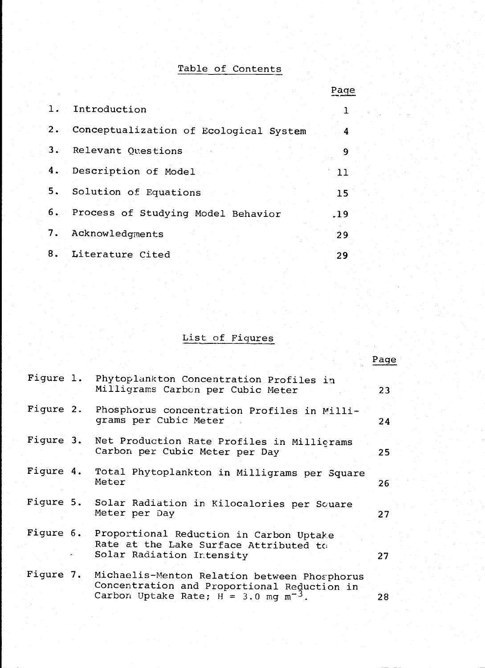## Table of Contents

|    |                                           | Page |
|----|-------------------------------------------|------|
|    | 1. Introduction                           |      |
|    | 2. Conceptualization of Ecological System | 4    |
|    | 3. Relevant Questions                     | 9.   |
|    | 4. Description of Model                   | וו   |
| 5. | Solution of Equations                     | 15   |
|    | 6. Process of Studying Model Behavior     | .19  |
|    | 7. Acknowledgments                        | 29   |
|    | 8. Literature Cited                       | 29   |

# List of Fiqures

|           |                                                                                                                                                   | Page |
|-----------|---------------------------------------------------------------------------------------------------------------------------------------------------|------|
| Figure 1. | Phytoplankton Concentration Profiles in<br>Milligrams Carbon per Cubic Meter                                                                      | 23   |
|           | Figure 2. Phosphorus concentration Profiles in Milli-<br>grams per Cubic Meter                                                                    | 24   |
| Figure 3. | Net Production Rate Profiles in Millicrams<br>Carbon per Cubic Meter per Day                                                                      | 25   |
| Figure 4. | Total Phytoplankton in Milligrams per Square<br>Meter                                                                                             | 26   |
|           | Figure 5. Solar Radiation in Kilocalories per Square<br>Meter per Day                                                                             | 27   |
|           | Figure 6. Proportional Reduction in Carbon Uptake<br>Rate at the Lake Surface Attributed to<br>Solar Radiation Intensity                          | 27   |
| Figure 7. | Michaelis-Menton Relation between Phosphorus<br>Concentration and Proportional Reduction in<br>Carbon Uptake Rate; $H = 3.0$ mg m <sup>-3</sup> . | 28   |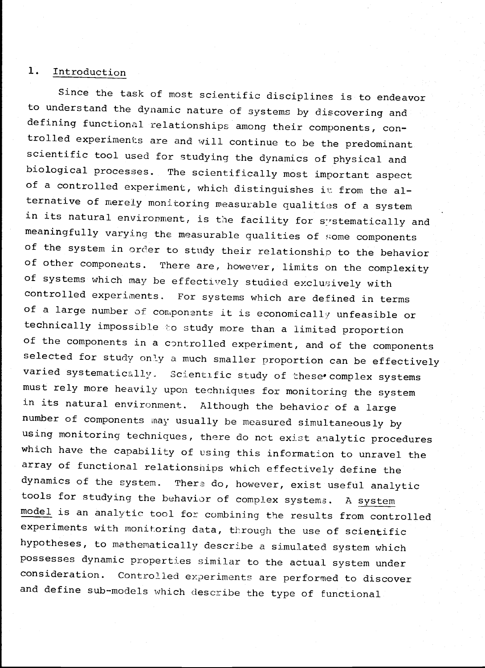#### 1. Introduction

Since the task of most scientific disciplines is to endeavor to understand the dynamic nature of systems by discovering and<br>defining functional relationships among their components, con-<br>trolled experiments are and will continue to be the predominant trolled experiments are and will continue to be the predominant<br>scientific tool used for studying the dynamics of physical and<br>biological processes. The scientifically most important aspect<br>of a controlled experiment, whic of a large number of components it is economically unfeasible or<br>technically impossible to study more than a limited proportion of the components in a controlled experiment, and of the components selected for study only a much smaller proportion can be effectively must rely more heavily upon techniques for monitoring the system<br>in its natural environment. Although the behavior of a large number of components may usually be measured simultaneously by using monitoring techniques, there do not exist analytic procedures which have the capability of using this information to unravel the array of functional relationships which effectively define the dynamics of the system. There do, however, exist useful analytic<br>tools for studying the behavior of complex systems. A system<br>model is an analytic tool for combining the results from controlled experiments with monitoring data, through the use of scientific hypotheses, to mathematically describe a simulated system which possesses dynamic properties similar to the actual system under consideration. Controlled experiments are performed to discover and define sub-models which describe the type of functional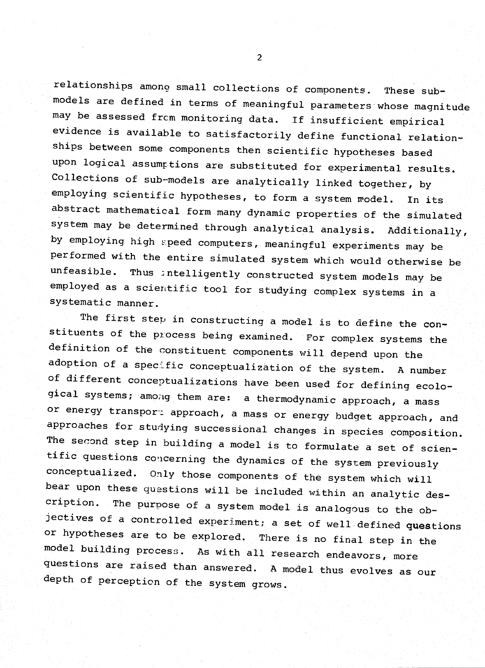relationships among small collections of components. These submodels are defined in terms of meaningful parameters whose magnitude may be assessed frcm monitoring data. If insufficient empirical evidence is available to satisfactorily define functional relationships between some components then scientific hypotheses based upon logical assumptions are substituted for experimental results. Collections of sub-models are analytically linked together, by employing scientific hypotheses, to form a system model. In its abstract mathematical form many dynamic properties of the simulated system may be determined through analytical analysis. Additionally, by employing high speed computers, meaningful experiments may be performed with the entire simulated system which would otherwise be<br>unfeasible. Thus intelligently constructed quater and learning Thus intelligently constructed system models may be employed as a scientific tool for studying complex systems in a systematic manner.

The first step in constructing a model is to define the constituents of the process being examined. For complex systems the definition of the constituent components will depend upon the adoption of a specific conceptualization of the system. A number of different conceptualizations have been used for defining ecological systems; among them are: a thermodynamic approach, a mass or energy transport approach, a mass or energy budget approach, and approaches for studying successional changes in species composition. The second step in building a model is to formulate a set of scientific questions concerning the dynamics of the system previously<br>conceptualized. Only those components of the system which it? Only those components of the system which will bear upon these questions will be included within an analytic description. The purpose of a system model is analogous to the ob-<br>jectives of a controlled experiment, a set of well defined questions or hypotheses are to be explored. There is no final step in the<br>model building process. As with all research endeavors, more<br>questions are raised than answered. A model thus evolves as our<br>depth of perception of the system

2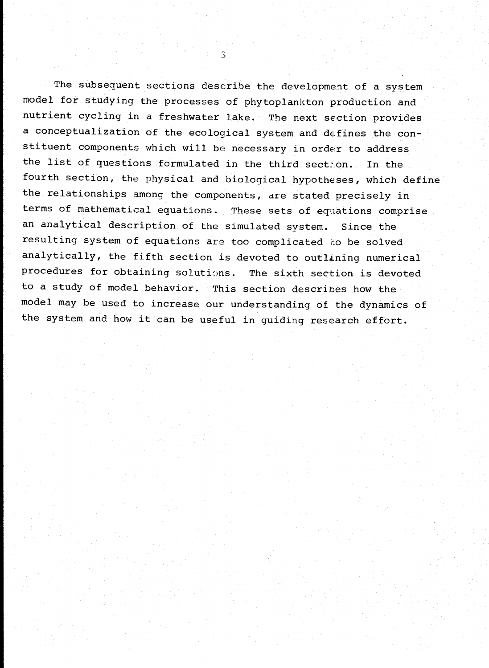The subsequent sections describe the development of a system model for studying the processes of phytoplankton production and nutrient cycling in a freshwater lake. The next section provides a conceptualization of the ecological system and defines the constituent components which will be necessary in order to address the list of questions formulated in the third section. In the fourth section, the physical and biological hypotheses, which define the relationships among the components, are stated precisely in terms of mathematical equations. These sets of equations comprise an analytical description of the simulated system. Since the resulting system of equations are too complicated to be solved analytically, the fifth section is devoted to outlining numerical procedures for obtaining solutions. The sixth section is devoted to a study of model behavior. This section describes how the model may be used to increase our understanding of the dynamics of the system and how it can be useful in guiding research effort.

 $\mathcal{S}$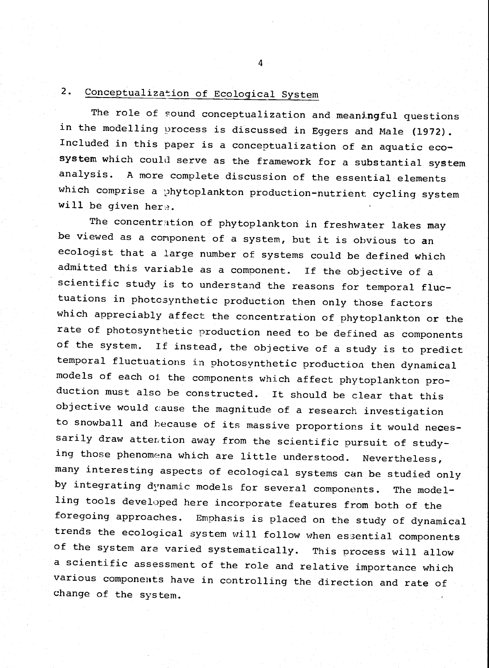# 2. Conceptualization of Ecological System

The role of sound conceptualization and meaningful questions in the modelling process is discussed in Eggers and Male (1972).<br>Included in this paper is a conceptualization of an aquatic ecosystem which could serve as the framework for a substantial system analysis. A more complete discussion of the essential elements which comprise a phytoplankton production-nutrient cycling system will be given hers.

The concentration of phytoplankton in freshwater lakes may<br>be viewed as a component of a system, but it is obvious to an ecologist that a large number of systems could be defined which admitted this variable as a component. If the objective of a scientific study is to understand the reasons for temporal fluctuations in photosynthetic production then only those factors which appreciably affect the concentration of phytoplankton or the rate of photosynthetic production need to be defined as components of the system. If instead, the objective of a study is to predict<br>temporal fluctuations in photosynthetic production then dynamical models of each of the components which affect phytoplankton production must also be constructed. It should be clear that this objective would cause the magnitude of a research investigation to snowball and because of its massive proportions it would necessarily draw attention away from the scientific pursuit of studying those phenomena which are little understood. Nevertheless, many interesting aspects of ecological systems can be studied only by integrating dynamic models for several components. The modelling tools developed here incorporate features from both of the foregoing approaches. Emphasis is placed on the study of dynamical trends the ecological system will follow when essential components of the system are varied systematically. This process will allow a scientific assessment of the role and relative importance which various components have in controlling the direction and rate of change of the system.

4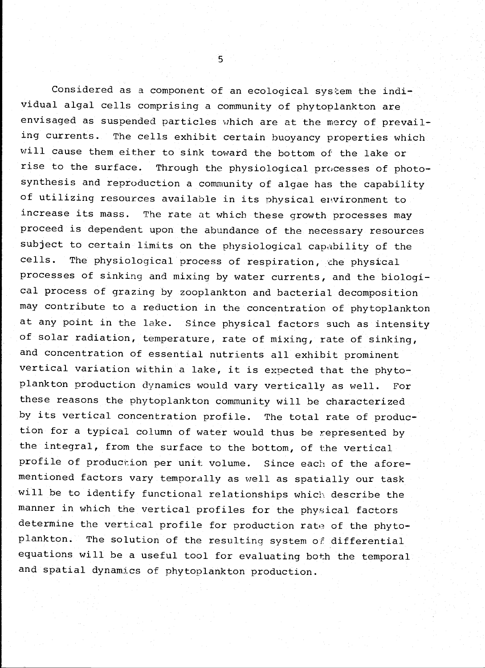Considered as a component of an ecological system the individual algal cells comprising a community of phytoplankton are envisaged as suspended particles which are at the mercy of prevailing currents. The cells exhibit certain buoyancy properties which will cause them either to sink toward the bottom of the lake or rise to the surface. Through the physiological processes of photosynthesis and reproduction a community of algae has the capability of utilizing resources available in its physical environment to increase its mass. The rate at which these growth processes may proceed is dependent upon the abundance of the necessary resources subject to certain limits on the physiological capability of the cells. The physiological process of respiration, the physical processes of sinking and mixing by water currents, and the biological process of grazing by zooplankton and bacterial decomposition may contribute to a reduction in the concentration. of phytoplankton at any point in the lake. Since physical factors such as intensity of solar radiation, temperature, rate of mixing, rate of sinking, and concentration of essential nutrients all exhibit prominent vertical variation within a lake, it is expected that the phytoplankton production dynamics would vary vertically as well. For these reasons the phytoplankton community will be characterized by its vertical concentration profile. The total rate of production for a typical column of water would thus be represented by the integral, from the surface to the bottom, of the vertical profile of production per unit volume. Since each of the aforementioned factors vary temporally as well as spatially our task will be to identify functional relationships which. describe the manner in which the vertical profiles for the physical factors determine the vertical profile for production rate of the phyto plankton. The solution of the resulting system of differential equations will be a useful tool for evaluating both the temporal and spatial dynamics of phytoplankton production.

 $\overline{5}$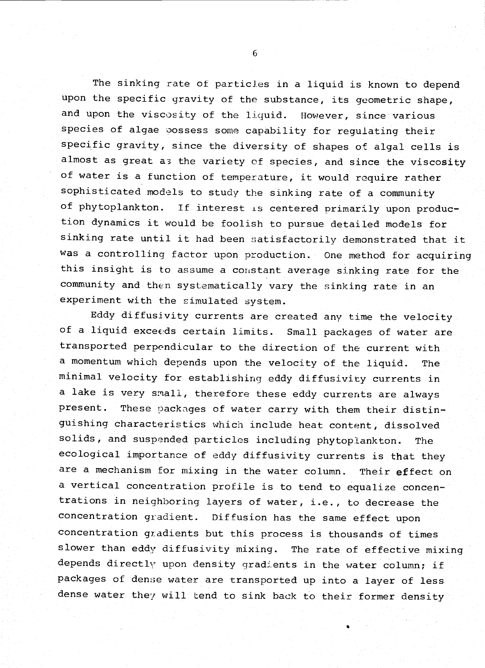The sinking rate of particles in a liquid is known to depend upon the specific gravity of the substance, its geometric shape, and upon the viscosity of the liquid. However, since various species of algae oossess some capability for regulating their specific gravity, since the diversity of shapes of algal cells is almost as great a3 the variety of species, and since the viscosity of water is a function of temperature, it would require rather sophisticated models to study the sinking rate of a community of phytoplankton. If interest is centered primarily upon production dynamics it would be foolish to pursue detailed models for sinking rate until it had been satisfactorily demonstrated that it was a controlling factor upon production. One method for acquiring this insight is to assume a constant average sinking rate for the community and then systematically vary the sinking rate in an experiment with the simulated system.

Eddy diffusivity currents are created any time the velocity of a liquid exceeds certain limits. Small packages of water are transported perpendicular to the direction of the current with a momentum which depends upon the velocity of the liquid. The minimal velocity for establishing eddy diffusivity currents in a lake is very small, therefore these eddy currents are always present. These packages of water carry with them their distinguishing characteristics which include heat content, dissolved solids, and suspended particles including phytoplankton. The ecological importance of eddy diffusivity currents is that they are a mechanism for mixing in the water column. Their effect on a vertical concentration profile is to tend to equalize concentrations in neighboring layers of water, i.e., to decrease the concentration gradient. Diffusion has the same effect upon concentration gradients but this process is thousands of times slower than eddy diffusivity mixing. The rate of effective mixing depends directly upon density gradients in the water column; if packages of dense water are transported up into a layer of less dense water they will tend to sink back to their former density

6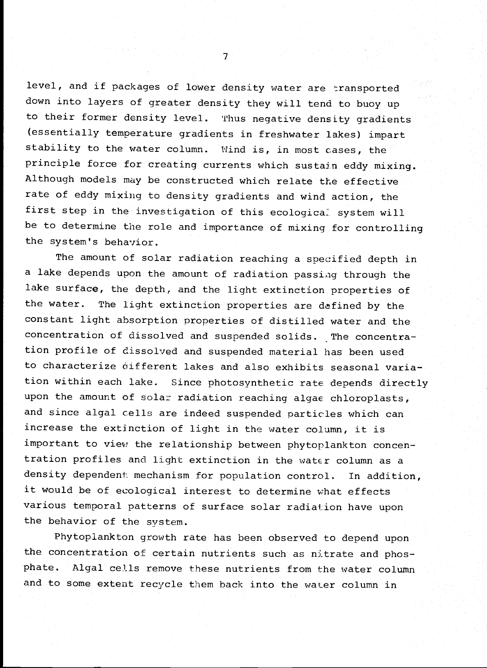level, and if packages of lower density water are transported down into layers of greater density they will tend to buoy up to their former density level. Thus negative density gradients (essentially temperature gradients in freshwater lakes) impart stability to the water column. Wind is, in most cases, the principle force for creating currents which sustain eddy mixing. Although models may be constructed which relate the effective rate of eddy mixing to density gradients and wind action, the first step in the investigation of this ecological system will be to determine the role and importance of mixing for controlling the system's behavior.

The amount of solar radiation reaching a specified depth in a lake depends upon the amount of radiation passing through the lake surface, the depth, and the light extinction properties of the water. The light extinction properties are defined by the constant light absorption properties of distilled water and the concentration of dissolved and suspended solids. The concentration profile of dissolved and suspended material has been used to characterize different lakes and also exhibits seasonal variation within each lake. Since photosynthetic rate depends directly upon the amount of solar radiation reaching algae chloroplasts, and since algal cells are indeed suspended particles which can increase the extinction of light in the water column, it is important to view the relationship between phytoplankton concentration profiles and light extinction in the water column as a density dependent mechanism for population control. In addition, it would be of ecological interest to determine what effects various temporal patterns of surface solar radiation have upon the behavior of the system.

Phytopiankton growth rate has been observed to depend upon the concentration of certain nutrients such as nitrate and phosphate. Algal cells remove these nutrients from the water column and to some extent recycle them back into the water column in

7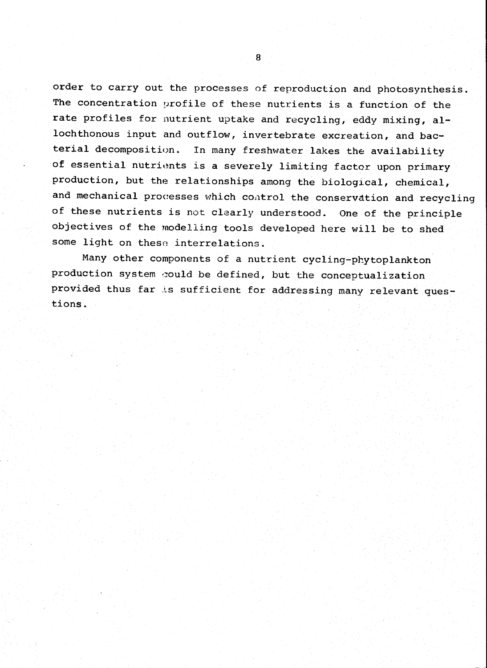order to carry out the processes of reproduction and photosynthesis. The concentration profile of these nutrients is a function of the rate profiles for nutrient uptake and recycling, eddy mixing, allochthonous input and outflow, invertebrate excreation, and bacterial decomposition. In many freshwater lakes the availability of essential nutrients is a severely limiting factor upon primary production, but the relationships among the biological, chemical, and mechanical processes which control the conservation and recycling of these nutrients is not clearly understood. One of the principle objectives of the modelling tools developed here will be to shed some light on these interrelations.

Many other components of a nutrient cycling-phytoplankton production system could be defined, but the conceptualization provided thus far is sufficient for addressing many relevant questions.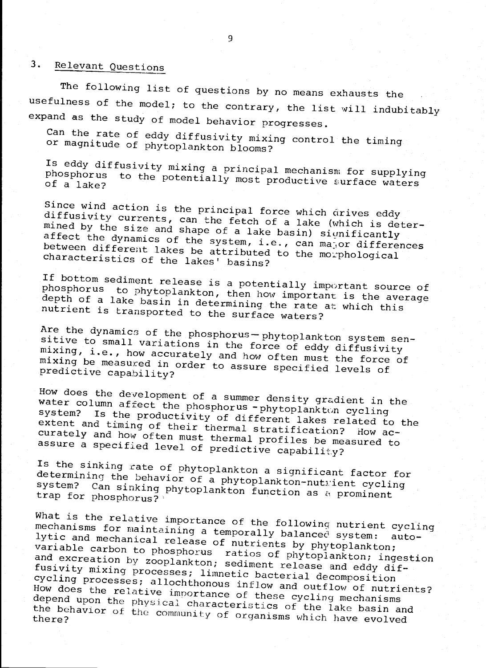## 3. Relevant Questions

The following list of questions by no means exhausts the usefulness of the model; to the contrary, the list will indubitably expand as the study of model behavior progresses.

Can the rate of eddy diffusivity mixing control the timing<br>or magnitude of phytoplankton blooms?

Is eddy diffusivity mixing a principal mechanism for supplying<br>phosphorus to the potentially most productive surface waters<br>of a lake? to the potentially most productive surface waters

Since wind action is the principal force which drives eddy<br>diffusivity currents, can the fetch of a lake (which is determined by the size and shape of a lake basin) significantly affect the dynamics of the system, i.e., can ma<sub>p</sub>or differences<br>between different lakes be attributed to the morphological<br>characteristics of the lakes' basins? between different lakes be attributed to the morphological

If bottom sediment release is a potentially important source of<br>phosphorus to phytoplankton, then how important is the average depth of a lake basin in determining the rate at which this nutrient is transported to the surface waters?

Are the dynamics of the phosphorus-- phytoplankton system sen-<br>sitive to small variations in the force of eddy diffusivity<br>mixing, i.e., how accurately and how often must the force of sitive to small variations in the force of eddy diffusivity mixing be measured mixing, i.e., how accurately and how often must the force of<br>mixing be measured in order to assure specified levels of<br>predictive capability?

How does the development of a summer density gradient in the<br>water column affect the phosphorus -phytoplankton cycling<br>system? Is the productivity of discrete phytoplankton cycling system? Is the productivity of different lakes related to the extent and timing of their thermal stratification? How ac- curately and how often must thermal profiles be measured to assure a specified level of predictive capability?

Is the sinking rate of phytoplankton a significant factor for determining the behavior of a phytoplankton-nutrient cycling system? Can sinking phytoplankton function as a prominent trap for phosphorus? system? Can sinking phytoplankton function as a prominent

What is the relative importance of the following nutrient cycling<br>mechanisms for maintaining a temporally balanced system: auto-<br>lytic and mechanical release of nutrients by phytoplankton; variable carbon to phosphorus ratios of phytoplankton; ingestion<br>and excreation by zooplankton; sediment release and eddy dif-<br>fusivity mixing processes; limnetic bacterial decomposition cycling processes; limnetic bacterial decomposition<br>cycling processes; allochthonous inflow and outflow of well To the processes; difference inflow and outflow of nutrients?<br>How does the relative importance of these quoling mosh utrients? How does the relative importance of these cycling mechanisms<br>depend upon the physical characteristics of the lake basin and<br>the behavior of the community of organisms which have evolved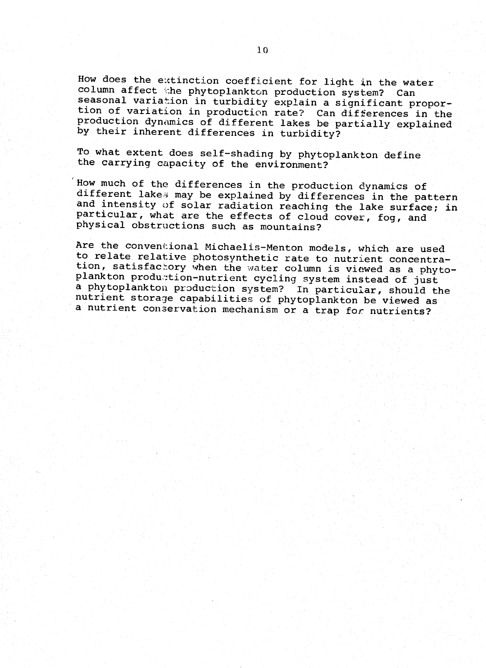How does the extinction coefficient for light in the water column affect the phytoplankton production system? Can seasonal variation in turbidity explain a significant proportion of variation in production rate? Can differences in the production dynamics of different lakes be partially explained by their inherent differences in turbidity?

To what extent does self-shading by phytoplankton define the carrying capacity of the environment?

How much of the differences in the production dynamics of different lakes may be explained by differences in the pattern and intensity of solar radiation reaching the lake surface; in particular, what are the effects of cloud cover, fog, and physical obstructions such as mountains?

Are the conventional Michaelis-Menton models, which are used to relate relative photosynthetic rate to nutrient concentration, satisfactory when the water column is viewed as a phytoplankton production-nutrient cycling system instead of just a phytoplankton production system? In particular, should the nutrient storage capabilities of phytoplankton be viewed as a nutrient conservation mechanism or a trap for nutrients?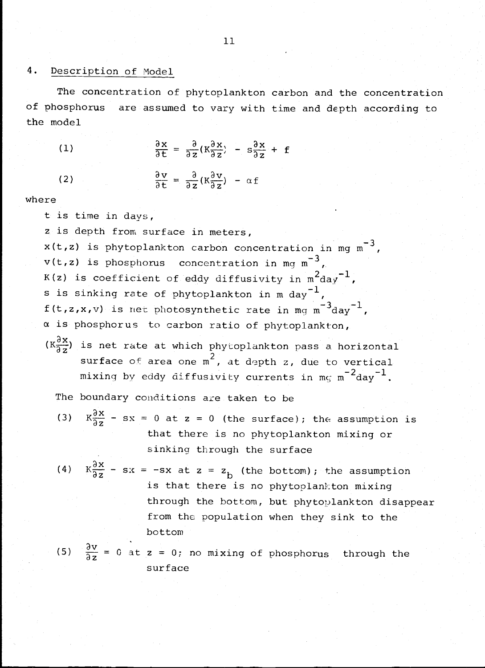#### 4. Description of Model

The concentration of phytoplankton carbon and the concentration of phosphorus are assumed to vary with time and depth according to the model

(1) (2)  $\partial x$  and  $\partial x$ ,  $\partial x$ ,  $\partial x$ ,  $\partial x$  $\frac{\partial x}{\partial t} = \frac{\partial}{\partial z} (K \frac{\partial x}{\partial z}) - s \frac{\partial x}{\partial z} + f$  $\frac{\partial v}{\partial t} = \frac{\partial}{\partial z} (K \frac{\partial v}{\partial z}) - \alpha f$ 

where

t is time in days,

z is depth from surface in meters,  $x(t, z)$  is phytoplankton carbon concentration in mq m<sup>-3</sup>,  $v(t,z)$  is phosphorus concentration in mg m<sup>-3</sup>, K(z) is coefficient of eddy diffusivity in  $m^2$ day<sup>-1</sup>, s is sinking rate of phytoplankton in m  $day^{-1}$  $f(t,z,x,v)$  is net photosynthetic rate in mg  $m^{-3}$ day<sup>-1</sup>  $\alpha$  is phosphorus to carbon ratio of phytoplankton,

 $(K_{\overline{27}}^{\partial x})$  is net rate at which phytoplankton pass a horizontal surface of area one  $m^2$ , at depth z, due to vertical mixing by eddy diffusivity currents in mg  $m^{-2}$ day<sup>-1</sup>.

The boundary conditions are taken to be

- (3)  $K\frac{\partial x}{\partial z} sx = 0$  at z = 0 (the surface); the assumption is that there is no phytoplankton mixing or sinking through the surface
- (4)  $K\frac{\partial x}{\partial z}$  sx = -sx at z = z<sub>b</sub> (the bottom); the assumption is that there is no phytoplankton mixing through the bottom, but phytoplankton disappear from the population when they sink to the bottom

(5) 
$$
\frac{\partial V}{\partial z} = 0
$$
 at  $z = 0$ ; no mixing of phosphorus through the surface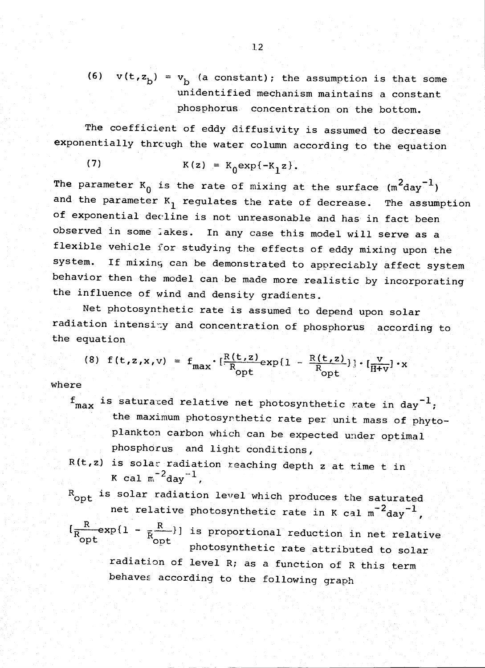(6)  $v(t, z_b) = v_b$  (a constant); the assumption is that some unidentified mechanism maintains a constant phosphorus concentration on the bottom.

The coefficient of eddy diffusivity is assumed to decrease exponentially through the water column according to the equation

(7) 
$$
K(z) = K_0 \exp\{-K_1 z\}
$$

The parameter  $K_0$  is the rate of mixing at the surface  $(m^2day^{-1})$ and the parameter  $K_1$  regulates the rate of decrease. The assumption of exponential decline is not unreasonable and has in fact been observed in some lakes. In any case this model will serve as a flexible vehicle for studying the effects of eddy mixing upon the system. If mixing; can be demonstrated to appreciably affect system behavior then the model can be made more realistic by incorporating the influence of wind and density gradients.

Net photosynthetic rate is assumed to depend upon solar radiation intensity and concentration of phosphorus according to the equation

(8) 
$$
f(t, z, x, v) = f_{\text{max}} \cdot \left[ \frac{R(t, z)}{R_{\text{opt}}} exp\{1 - \frac{R(t, z)}{R_{\text{opt}}}\right] \cdot \left[ \frac{v}{H + v} \right] \cdot x
$$

where

 $f_{\text{max}}$  is saturated relative net photosynthetic rate in day<sup>-1</sup>; the maximum photosynthetic rate per unit mass of phytoplankton carbon which can be expected under optimal phosphorus and light conditions,

R(t,z.) is solar radiation teaching depth z at time t in K cal  $m^{-2}$ day $^{-1}$ ,

R<sub>opt</sub> is solar radiation level which produces the saturated net relative photosynthetic rate in K cal  $m^{-2}$ day<sup>-1</sup>,  $R_{\text{opt}}^{\text{R}}$  exp $\{1 - \frac{R}{R_{\text{opt}}}\}$  is proportional reduction in net relative photosynthetic rate attributed to solar radiation of level R; as a function of R this term behaves according to the following graph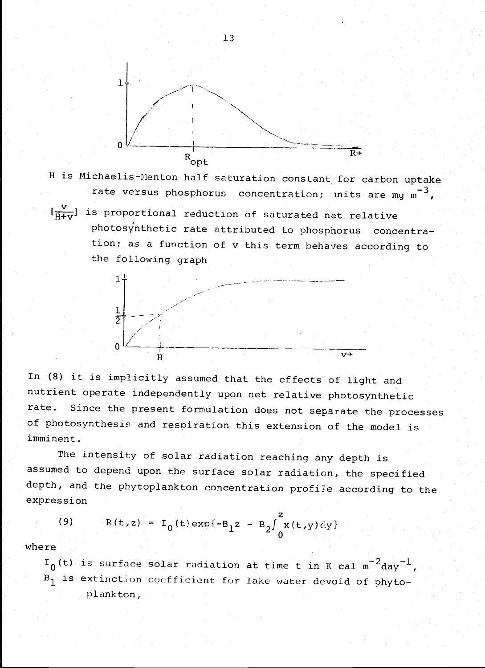

H is Michaelis-Menton half saturation constant for carbon uptake rate versus phosphorus concentration; units are mg  $m^{-3}$ ,  $\left[\frac{1}{H+V}\right]$  is proportional reduction of saturated net relative photosynthetic rate attributed to phosphorus concentra-

 $1 +$ tion; as a function of v this term behaves according to the following graph



In (8) it is implicitly assumed that the effects of light and nutrient operate independently upon net relative photosynthetic rate. Since the present formulation does not separate the processes of photosynthesis and respiration this extension of the model is imminent.

The intensity of solar radiation reaching any depth is assumed to depend upon the surface solar radiation, the specified depth, and the phytoplankton concentration profile according to the expression

(9) 
$$
R(t,z) = I_0(t) \exp\{-B_1 z - B_2 \int_0^z x(t,y) dy\}
$$

where

 $10(t)$  is surface solar radiation at time t in K cal  $m^{-2}$  day<sup>-1</sup>,  $B_1$  is extinction coefficient for lake water devoid of phytoplankton,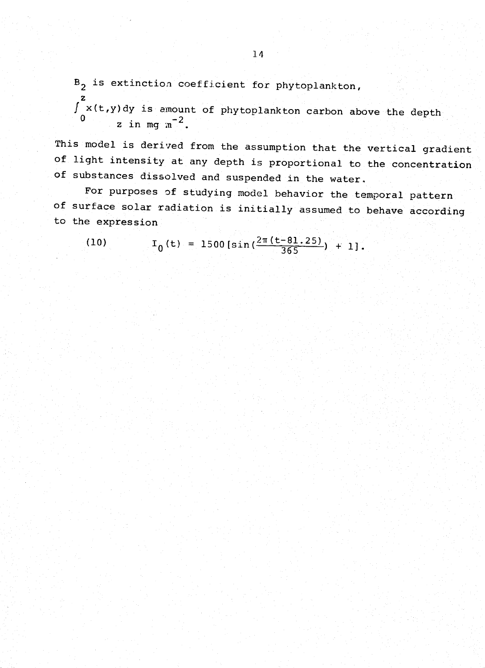$B_2$  is extinction coefficient for phytoplankton,

z a strong strong strong strong strong strong strong strong strong strong strong strong strong strong strong s  $\int_{0}^{x(t,y)dy}$  is amount of phytoplankton carbon above the depth  $0$  z in mg  $m^{-2}$ .

This model is derived from the assumption that the vertical gradient of light intensity at any depth is proportional to the concentration of substances dissolved and suspended in the water.

For purposes of studying model behavior the temporal pattern of surface solar radiation is initially assumed to behave according to the expression

(10) 
$$
I_0(t) = 1500 \left[\sin\left(\frac{2\pi (t-81.25)}{365}\right) + 1\right].
$$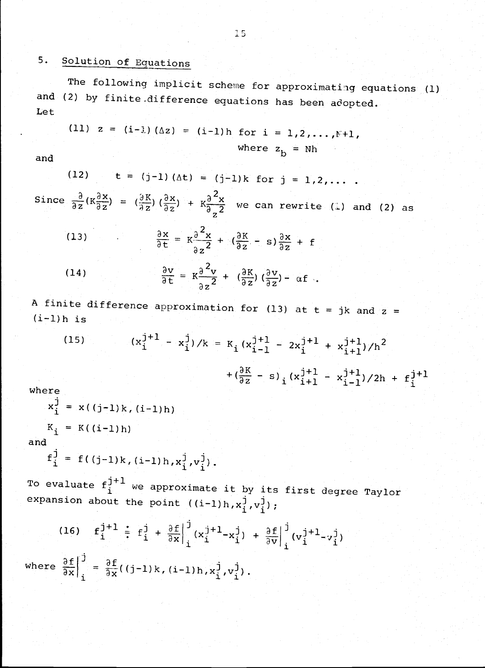# 5. Solution of Equations

The following implicit scheme for approximating equations (1) and (2) by finite.difference equations has been adopted. Let

(11) 
$$
z = (i-i)(\Delta z) = (i-i)h
$$
 for  $i = 1, 2, ..., N+1$ ,  
where  $z_h = Nh$ 

and

(12) 
$$
t = (j-1)(\Delta t) = (j-1)k
$$
 for  $j = 1, 2, ...$ 

Since  $\frac{\partial}{\partial z} (K \frac{\partial x}{\partial z})$  $\mathcal{L}^{\prime}$  )  $z^{\prime}$  =  $\mathcal{L}$  $(\frac{\partial K}{\partial z})(\frac{\partial x}{\partial z}) + K\frac{\partial^2 x}{\partial z^2}$  we can rewrite (1) and (2) as

(13) 
$$
\frac{\partial x}{\partial t} = K \frac{\partial^2 x}{\partial z^2} + (\frac{\partial K}{\partial z} - s) \frac{\partial x}{\partial z} + f
$$

(14) 
$$
\frac{\partial v}{\partial t} = K \frac{\partial^2 v}{\partial z^2} + (\frac{\partial K}{\partial z}) (\frac{\partial v}{\partial z}) - \alpha f
$$

A finite difference approximation for (13) at  $t = jk$  and  $z = (i-1)h$  is

(15) 
$$
(x_1^{j+1} - x_1^j)/k = K_1(x_{i-1}^{j+1} - 2x_1^{j+1} + x_{i+1}^{j+1})/h^2 + (\frac{\partial K}{\partial z} - s)_1(x_{i+1}^{j+1} - x_{i-1}^{j+1})/2h + f_1^{j+1}
$$

where

$$
x_{i}^{j} = x((j-1)k, (i-1)h)
$$
  
\n
$$
K_{i} = K((i-1)h)
$$
  
\n
$$
f_{i}^{j} = f((j-1)k, (i-1)h, x_{i}^{j}, v_{i}^{j}).
$$

and

 $(\frac{j}{i}, v^{\frac{1}{j}})_\ast$ 

To evaluate  $f_1^{J+1}$  we approximate it by its first degree Taylor expansion about the point  $((i-l)h)$ 

(16) 
$$
f_{i}^{j+1} \div f_{i}^{j} + \frac{\partial f}{\partial x} \Big|_{i}^{j} (x_{i}^{j+1} - x_{i}^{j}) + \frac{\partial f}{\partial y} \Big|_{i}^{j} (v_{i}^{j+1} - v_{i}^{j})
$$
  
where 
$$
\frac{\partial f}{\partial x} \Big|_{i}^{j} = \frac{\partial f}{\partial x} ((j-1)k, (i-1)h, x_{i}^{j}, v_{i}^{j}).
$$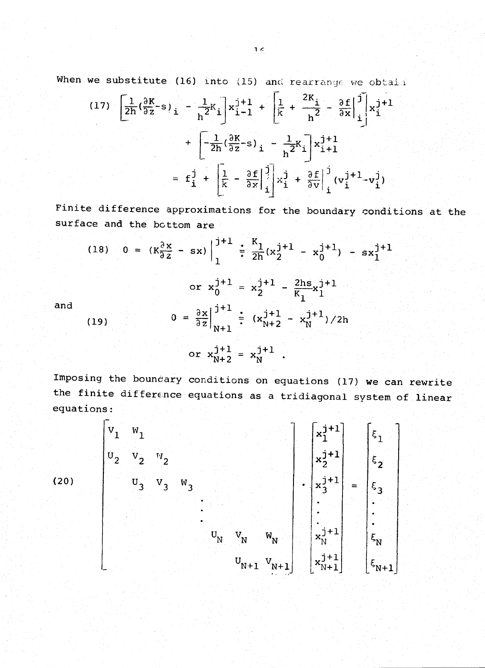When we substitute (16) into (15) and rearrange we obtain

(17) 
$$
\left[\frac{1}{2h}(\frac{\partial K}{\partial z}-s)_{\mathbf{i}} - \frac{1}{h^{2}}K_{\mathbf{i}}\right]x_{\mathbf{i}-1}^{\mathbf{j}+\mathbf{l}} + \left[\frac{1}{k} + \frac{2K_{\mathbf{i}}}{h^{2}} - \frac{\partial f}{\partial x}\right]_{\mathbf{i}}^{1}\right]x_{\mathbf{i}}^{\mathbf{j}+\mathbf{l}}
$$

$$
+ \left[-\frac{1}{2h}(\frac{\partial K}{\partial z}-s)_{\mathbf{i}} - \frac{1}{h^{2}}K_{\mathbf{i}}\right]x_{\mathbf{i}+\mathbf{l}}^{\mathbf{j}+\mathbf{l}}
$$

$$
= f_{\mathbf{i}}^{\mathbf{j}} + \left[\frac{1}{k} - \frac{\partial f}{\partial x}\right]_{\mathbf{i}}^{1}\left[x_{\mathbf{i}}^{\mathbf{j}} + \frac{\partial f}{\partial v}\right]_{\mathbf{i}}^{1}\left(v_{\mathbf{i}}^{\mathbf{j}+\mathbf{l}} - v_{\mathbf{i}}^{\mathbf{j}}\right)
$$

Finite difference approximations for the boundary conditions at the surface and the bottom are

(18) 
$$
0 = (K\frac{\partial x}{\partial z} - sx)\Big|_1^{\dot{j}+1} \div \frac{K_1}{2h}(x_2^{\dot{j}+1} - x_0^{\dot{j}+1}) - sx_1^{\dot{j}+1}
$$
  
\nor  $x_0^{\dot{j}+1} = x_2^{\dot{j}+1} - \frac{2hs}{K_1}x_1^{\dot{j}+1}$   
\n(19)  $0 = \frac{\partial x}{\partial z}\Big|_{N+1}^{\dot{j}+1} \div (x_{N+2}^{\dot{j}+1} - x_N^{\dot{j}+1})/2h$   
\nor  $x_{N+2}^{\dot{j}+1} = x_N^{\dot{j}+1}$ .

and

Imposing the boundary conditions on equations (17) we can rewrite the finite difference equations as a tridiagonal system of linear equations:

$$
\begin{bmatrix}\nv_1 & w_1 \\
v_2 & v_2 & w_2 \\
v_3 & v_3 & w_3 \\
\vdots & \vdots & \vdots \\
v_N & v_N & w_N \\
\vdots & \vdots & \vdots \\
v_N & v_N & w_N \\
\vdots & \vdots & \vdots \\
v_{N+1} & v_{N+1}\n\end{bmatrix} \cdot \begin{bmatrix}\n\dot{x}_1^{j+1} \\
\dot{x}_2^{j+1} \\
\dot{x}_3^{j+1} \\
\vdots \\
\dot{x}_N^{j+1}\n\end{bmatrix} = \begin{bmatrix}\n\varepsilon_1 \\
\varepsilon_2 \\
\varepsilon_3 \\
\vdots \\
\varepsilon_N \\
\varepsilon_N\n\end{bmatrix}
$$

(20)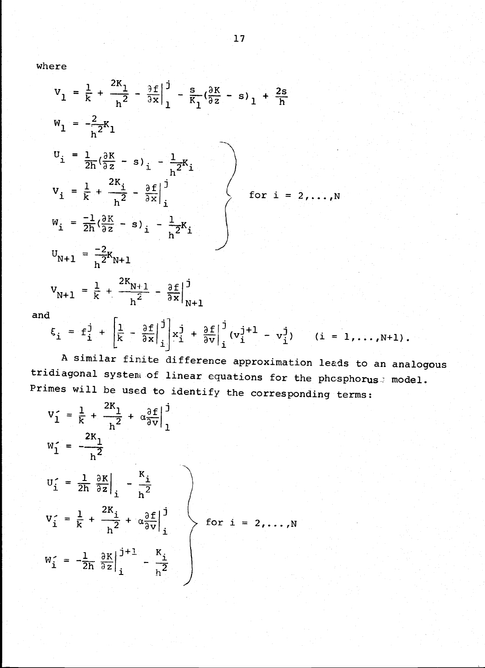where

$$
V_{1} = \frac{1}{k} + \frac{2K_{1}}{h^{2}} - \frac{3f}{3x} \Big|_{1}^{3} - \frac{s}{K_{1}} (\frac{3K}{3z} - s)_{1} + \frac{2s}{h}
$$
  
\n
$$
W_{1} = -\frac{2}{h^{2}} K_{1}
$$
  
\n
$$
U_{i} = \frac{1}{2h} (\frac{3K}{3z} - s)_{i} - \frac{1}{h^{2}} K_{i}
$$
  
\n
$$
V_{i} = \frac{1}{k} + \frac{2K_{i}}{h^{2}} - \frac{3f}{3x} \Big|_{i}^{j}
$$
  
\nfor  $i = 2,..., N$   
\n
$$
W_{i} = \frac{-1}{2h} (\frac{3K}{3z} - s)_{i} - \frac{1}{h^{2}} K_{i}
$$
  
\n
$$
U_{N+1} = -\frac{2}{h^{2}} K_{N+1}
$$
  
\n
$$
V_{N+1} = \frac{1}{k} + \frac{2K_{N+1}}{h^{2}} - \frac{3f}{3x} \Big|_{N+1}^{j}
$$

and

$$
\xi_{\mathbf{i}} = f_{\mathbf{i}}^{\mathbf{j}} + \left[ \frac{1}{k} - \frac{\partial f}{\partial x} \Big|_{\mathbf{i}}^{\mathbf{j}} \right] x_{\mathbf{i}}^{\mathbf{j}} + \frac{\partial f}{\partial y} \Big|_{\mathbf{i}}^{\mathbf{j}} (v_{\mathbf{i}}^{\mathbf{j}+\mathbf{l}} - v_{\mathbf{i}}^{\mathbf{j}}) \qquad (i = 1, ..., N+1).
$$

A similar finite difference approximation leads to an analogous tridiagonal system of linear equations for the phosphorus.; model. Primes will be used to identify the corresponding terms:

$$
V_1' = \frac{1}{k} + \frac{2K_1}{h^2} + \alpha \frac{\partial f}{\partial v} \Big|_1^j
$$
  
\n
$$
W_1' = -\frac{2K_1}{h^2}
$$
  
\n
$$
U_1' = \frac{1}{2h} \frac{\partial K}{\partial z} \Big|_1^i - \frac{K_1}{h^2}
$$
  
\n
$$
V_1' = \frac{1}{k} + \frac{2K_1}{h^2} + \alpha \frac{\partial f}{\partial v} \Big|_1^j
$$
  
\n
$$
W_1' = -\frac{1}{2h} \frac{\partial K}{\partial z} \Big|_1^{j+1} - \frac{K_1}{h^2}
$$
 for  $i = 2, ..., N$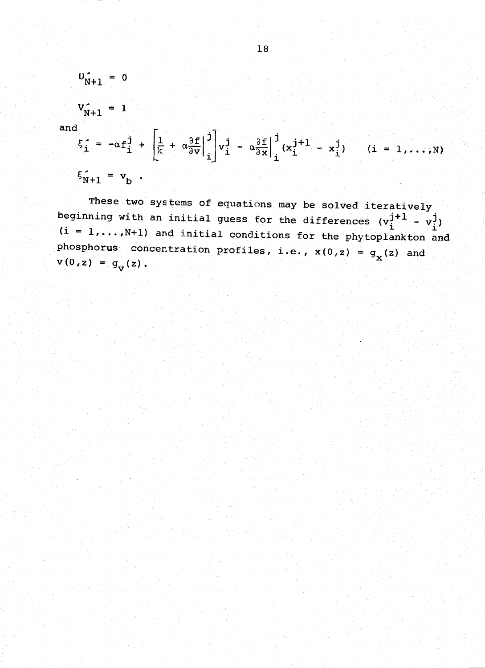$U_{N+1} = 0$ 

$$
V_{N+1} = 1
$$

and

Ei = -aft + N+1 Vb j <sup>+</sup> aavl lvi - aaXl (xi+1 - xi) (i = 1,...,N) i

These two systems of equations may be solved iteratively beginning with an initial guess for the differences  $(v_i^{j+1} - v_i^j)$ (i = 1,...,N+1) and initial conditions for the phytoplankton and phosphorus concentration profiles, i.e.,  $x(0, z) = g_x(z)$  and  $v(0, z) = g_v(z)$ .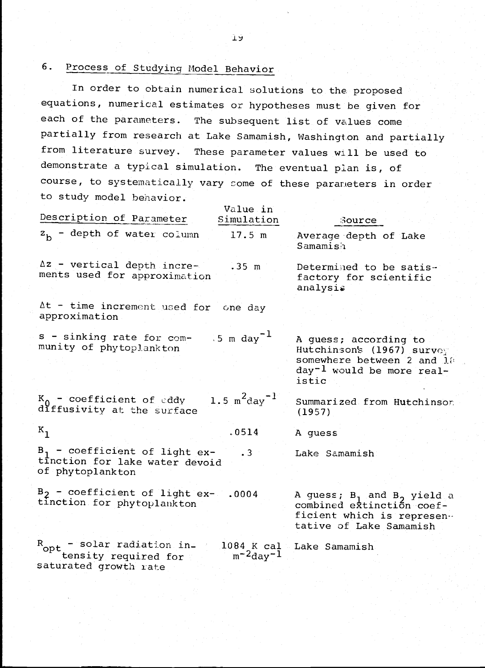# 6. Process of Studying Model Behavior

In order to obtain numerical solutions to the proposed equations, numerical estimates or hypotheses must be given for each of the parameters. The subsequent list of values come partially from research at Lake Samamish, Washington and partially from literature survey. These parameter values will be used to demonstrate a typical simulation. The eventual plan is, of course, to systematically vary some of these parameters in order to study model behavior.

|                                                                                         | Value in                    |                                                                                                                                     |
|-----------------------------------------------------------------------------------------|-----------------------------|-------------------------------------------------------------------------------------------------------------------------------------|
| Description of Parameter                                                                | Simulation                  | Source                                                                                                                              |
| $z_h$ - depth of water column 17.5 m                                                    |                             | Average depth of Lake<br>Samamish                                                                                                   |
| Az - vertical depth incre-<br>ments used for approximation                              | .35 m                       | Determined to be satis-<br>factory for scientific<br>analysis                                                                       |
| At - time increment used for one day<br>approximation                                   |                             |                                                                                                                                     |
| s - sinking rate for com- $\frac{1}{5}$ m day <sup>-1</sup><br>munity of phytoplankton  |                             | A guess; according to<br>Hutchinson's (1967) survey<br>somewhere between 2 and la<br>day <sup>-1</sup> would be more real-<br>istic |
| $K_0$ - coefficient of eddy<br>diffusivity at the surface                               | 1.5 $m^2$ day <sup>-1</sup> | Summarized from Hutchinson<br>(1957)                                                                                                |
| $K_{1}$                                                                                 | .0514                       | A quess                                                                                                                             |
| $B_1$ - coefficient of light ex-<br>tinction for lake water devoid<br>of phytoplankton  | $\cdot$ 3                   | Lake Samamish                                                                                                                       |
| $B_2$ - coefficient of light ex- .0004<br>tinction for phytoplankton                    |                             | A guess; $B_1$ and $B_2$ yield a<br>combined extinction coef-<br>ficient which is represen-<br>tative of Lake Samamish              |
| R <sub>opt</sub> - solar radiation in-<br>tensity required for<br>saturated growth rate | $m^{-2}$ day <sup>-1</sup>  | 1084 K cal Lake Samamish                                                                                                            |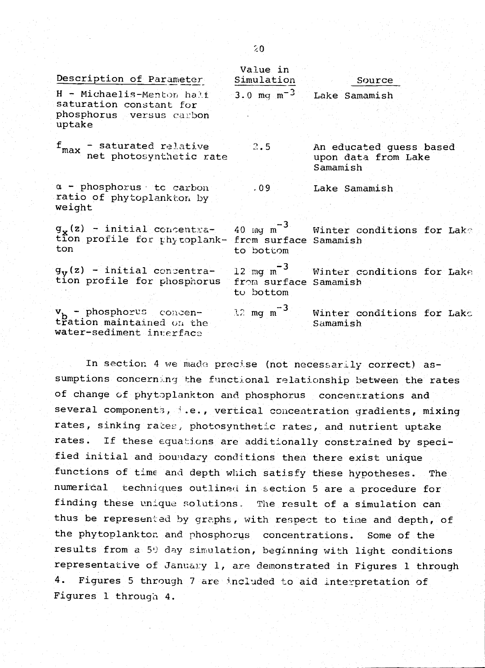| Description of Parameter                                                                     | Value in<br>Simulation             | Source                                                     |
|----------------------------------------------------------------------------------------------|------------------------------------|------------------------------------------------------------|
| H - Michaelis-Menton half<br>saturation constant for<br>phosphorus versus carbon<br>uptake   |                                    | 3.0 mg m <sup>-3</sup> Lake Samamish                       |
| $f_{max}$ - saturated relative<br>net photosynthetic rate                                    | 2.5                                | An educated guess based<br>upon data from Lake<br>Samamish |
| $\alpha$ - phosphorus to carbon<br>ratio of phytoplankton by<br>weight                       | .09                                | Lake Samamish                                              |
| $g_{\mathbf{x}}(\mathbf{z})$ - initial concentra-<br>tion profile for phytoplank-<br>ton     | from surface Samamish<br>to bottom | 40 mg m <sup>-3</sup> Winter conditions for Lake           |
| $g_V(z)$ - initial concentra-<br>tion profile for phosphorus                                 | from surface Samamish<br>to bottom | 12 mg m <sup>-3</sup> Winter conditions for Lake           |
| v <sub>b</sub> - phosphorus concen-<br>tration maintained on the<br>water-sediment interface | 12 mg $m^{-3}$                     | Winter conditions for Lake<br>Samamish                     |

In section 4 we made precise (not necessarily correct) assumptions concerning the functional relationship between the rates of change of phytoplankton and phosphorus concentrations and several components, i.e., vertical concentration gradients, mixing rates, sinking rates, photosynthetic rates, and nutrient uptake rates. If these equations are additionally constrained by specified initial and boundary conditions then there exist unique functions of time and depth which satisfy these hypotheses. The numerical techniques outlined in section 5 are a procedure for finding these unique solutions. The result of a simulation can thus be represented by graphs, with respect to time and depth, of the phytoplankton and phosphorus concentrations. Some of the results from a 59 day simulation, beginning with light conditions representative of January 1, are demonstrated in Figures 1 through 4. Figures 5 through 7 are included to aid interpretation of Figures 1 through 4.

 $20$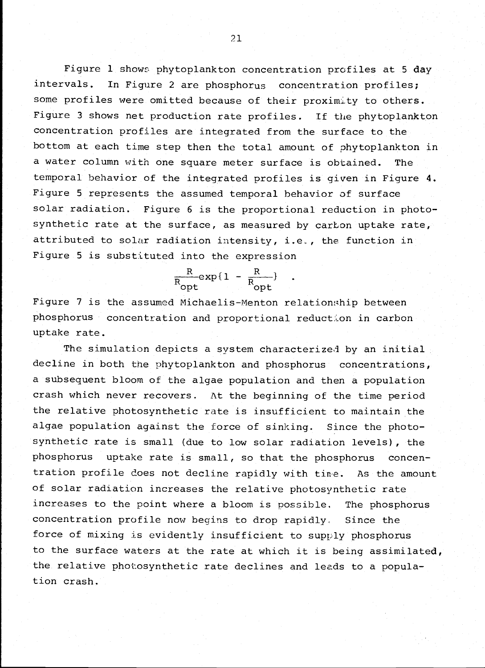Figure 1 shows phytoplankton concentration profiles at 5 day intervals. In Figure 2 are phosphorus concentration profiles; some profiles were omitted because of their proximity to others. Figure 3 shows net production rate profiles. If the phytoplankton concentration profiles are integrated from the surface to the bottom at each time step then the total amount of phytoplankton in a water column with one square meter surface is obtained. The temporal behavior of the integrated profiles is given in Figure 4. Figure 5 represents the assumed temporal behavior of surface solar radiation. Figure 6 is the proportional reduction in photosynthetic rate at the surface, as measured by carton uptake rate, attributed to solar radiation intensity, i.e., the function in Figure 5 is substituted into the expression

 $R_{\text{opt}}^{R} \exp\{1 - \frac{R}{R_{\text{opt}}} \}$ .

Figure 7 is the assumed Michaelis-Menton relationship between phosphorus concentration and proportional reduction in carbon uptake rate.

The simulation depicts a system characterized by an initial decline in both the phytoplankton and phosphorus concentrations, a subsequent bloom of the algae population and then a population crash which never recovers. At the beginning of the time period the relative photosynthetic rate is insufficient to maintain the algae population against the force of sinking. Since the photosynthetic rate is small (due to low solar radiation levels), the phosphorus uptake rate is small, so that the phosphorus concentration profile does not decline rapidly with tine. As the amount of solar radiation increases the relative photosynthetic rate increases to the point where a bloom is possible. The phosphorus concentration profile now begins to drop rapidly, Since the force of mixing is evidently insufficient to supply phosphorus to the surface waters at the rate at which it is being assimilated, the relative photosynthetic rate declines and leads to a population crash.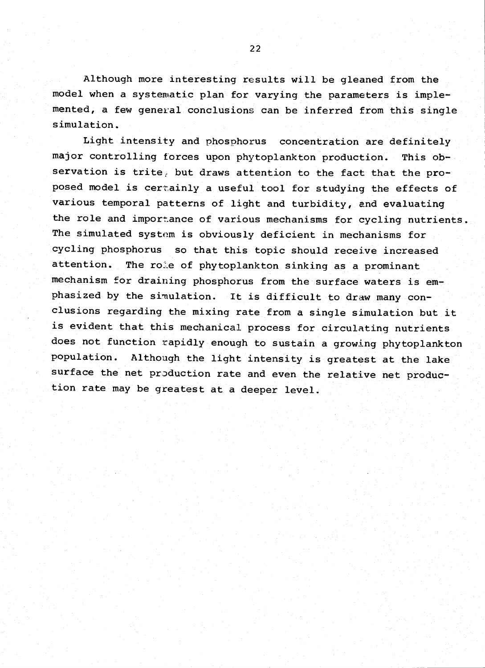Although more interesting results will be gleaned from the model when a systematic plan for varying the parameters is implemented, a few general conclusions can be inferred from this single simulation.

Light intensity and phosphorus concentration are definitely major controlling forces upon phytoplankton production. This observation is trite, but draws attention to the fact that the proposed model is certainly a useful tool for studying the effects of various temporal patterns of light and turbidity, and evaluating the role and importance of various mechanisms for cycling nutrients. The simulated system is obviously deficient in mechanisms for cycling phosphorus so that this topic should receive increased attention. The rote of phytoplankton sinking as a prominant mechanism for draining phosphorus from the surface waters is emphasized by the simulation. It is difficult to draw many conclusions regarding the mixing rate from a single simulation but it is evident that this mechanical process for circulating nutrients does not function rapidly enough to sustain a growing phytoplankton population. Although the light intensity is greatest at the lake surface the net production rate and even the relative net production rate may be greatest at a deeper level.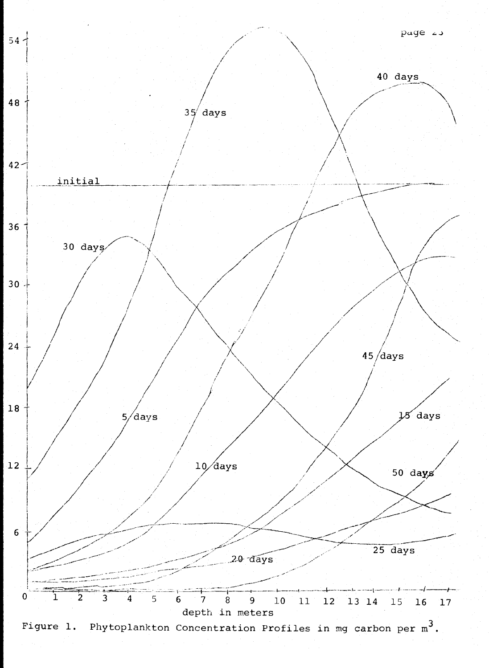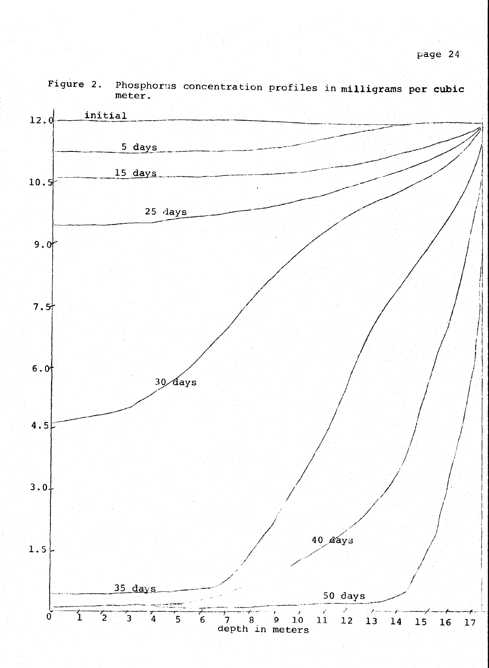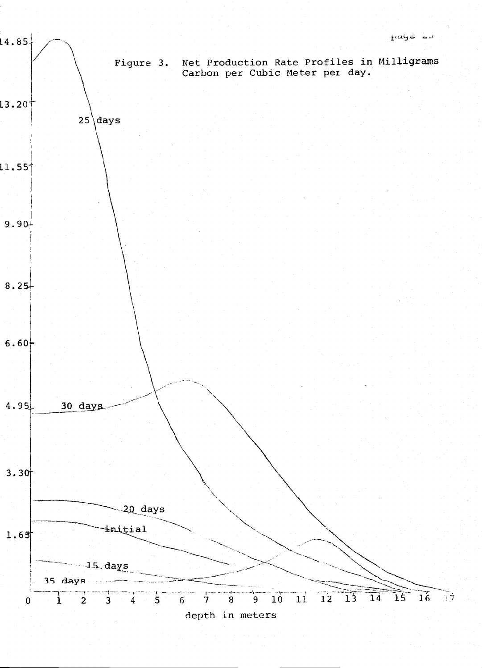

depth in meters

euge .<br>پاس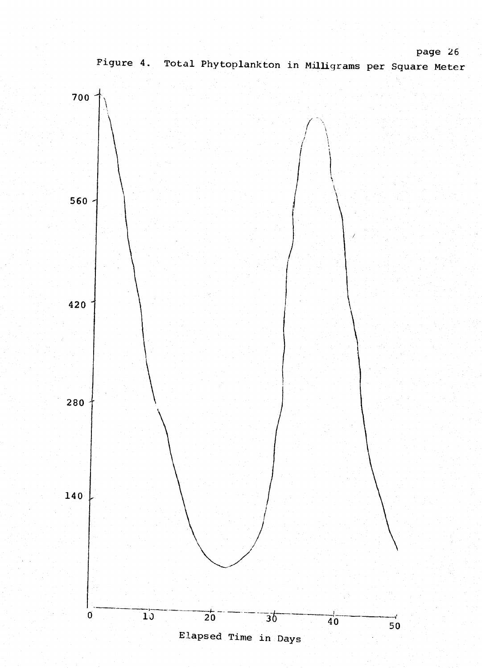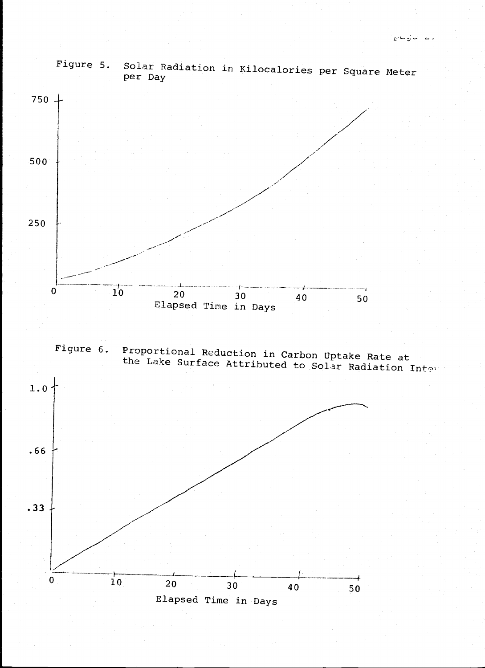





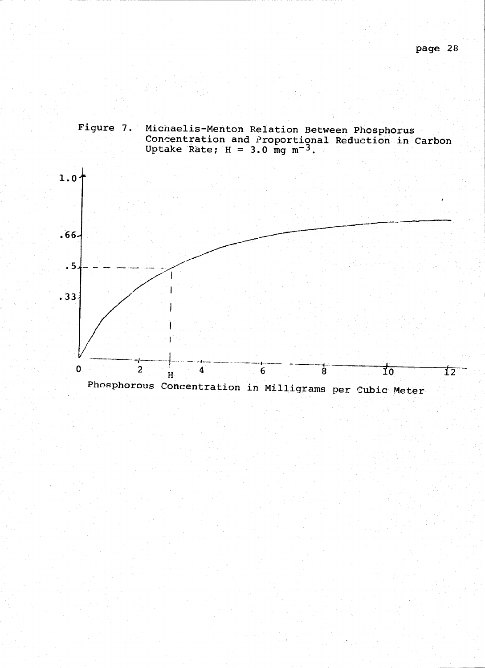

Figure 7. Michaelis-Menton Relation Between Phosphorus<br>Concentration and Proportional Reduction in Carbon<br>Uptake Rate;  $H = 3.0$  mg m<sup>-3</sup>.

page 28